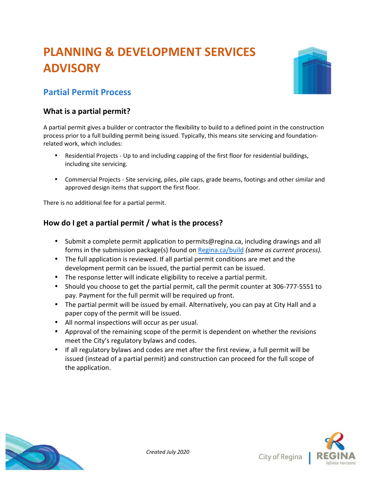# **PLANNING & DEVELOPMENT SERVICES ADVISORY**



## **Partial Permit Process**

#### **What is a partial permit?**

A partial permit gives a builder or contractor the flexibility to build to a defined point in the construction process prior to a full building permit being issued. Typically, this means site servicing and foundationrelated work, which includes:

- Residential Projects Up to and including capping of the first floor for residential buildings, including site servicing.
- Commercial Projects Site servicing, piles, pile caps, grade beams, footings and other similar and approved design items that support the first floor.

There is no additional fee for a partial permit.

### **How do I get a partial permit / what is the process?**

- Submit a complete permit application to permits@regina.ca, including drawings and all forms in the submission package(s) found on Regina.ca/build *(same as current process).*
- The full application is reviewed. If all partial permit conditions are met and the development permit can be issued, the partial permit can be issued.
- The response letter will indicate eligibility to receive a partial permit.
- Should you choose to get the partial permit, call the permit counter at 306-777-5551 to pay. Payment for the full permit will be required up front.
- The partial permit will be issued by email. Alternatively, you can pay at City Hall and a paper copy of the permit will be issued.
- All normal inspections will occur as per usual.
- Approval of the remaining scope of the permit is dependent on whether the revisions meet the City's regulatory bylaws and codes.
- If all regulatory bylaws and codes are met after the first review, a full permit will be issued (instead of a partial permit) and construction can proceed for the full scope of the application.



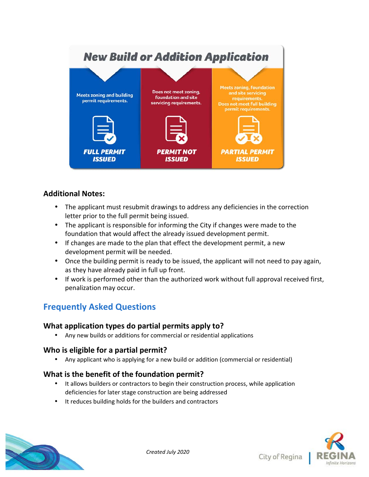#### **New Build or Addition Application Meets zoning, foundation** Does not meet zoning, and site servicing **Meets zoning and building foundation and site** requirements permit requirements. servicing requirements. **Does not meet full building** permit requirements. **FULL PERMIT PERMIT NOT PARTIAL PERMIT ISSUED ISSUED ISSUED**

### **Additional Notes:**

- The applicant must resubmit drawings to address any deficiencies in the correction letter prior to the full permit being issued.
- The applicant is responsible for informing the City if changes were made to the foundation that would affect the already issued development permit.
- If changes are made to the plan that effect the development permit, a new development permit will be needed.
- Once the building permit is ready to be issued, the applicant will not need to pay again, as they have already paid in full up front.
- If work is performed other than the authorized work without full approval received first, penalization may occur.

## **Frequently Asked Questions**

#### **What application types do partial permits apply to?**

• Any new builds or additions for commercial or residential applications

#### **Who is eligible for a partial permit?**

• Any applicant who is applying for a new build or addition (commercial or residential)

#### **What is the benefit of the foundation permit?**

- It allows builders or contractors to begin their construction process, while application deficiencies for later stage construction are being addressed
- It reduces building holds for the builders and contractors